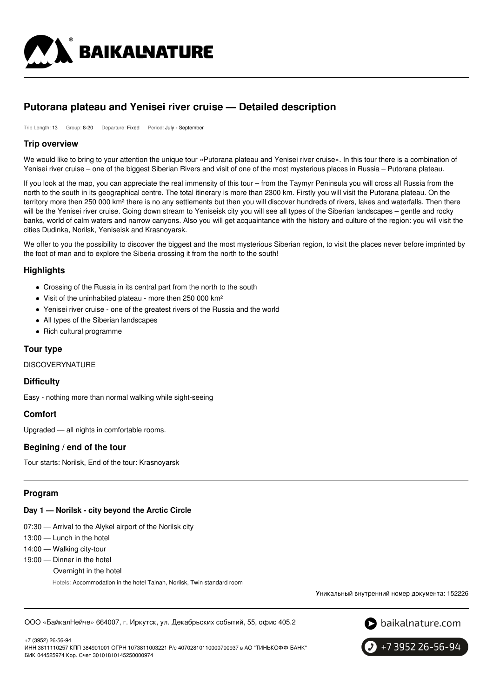

# **Putorana plateau and Yenisei river cruise — Detailed description**

Trip Length: 13 Group: 8-20 Departure: Fixed Period: July - September

### **Trip overview**

We would like to bring to your attention the unique tour «Putorana plateau and Yenisei river cruise». In this tour there is a combination of Yenisei river cruise – one of the biggest Siberian Rivers and visit of one of the most mysterious places in Russia – Putorana plateau.

If you look at the map, you can appreciate the real immensity of this tour – from the Taymyr Peninsula you will cross all Russia from the north to the south in its geographical centre. The total itinerary is more than 2300 km. Firstly you will visit the Putorana plateau. On the territory more then 250 000 km<sup>2</sup> there is no any settlements but then you will discover hundreds of rivers, lakes and waterfalls. Then there will be the Yenisei river cruise. Going down stream to Yeniseisk city you will see all types of the Siberian landscapes – gentle and rocky banks, world of calm waters and narrow canyons. Also you will get acquaintance with the history and culture of the region: you will visit the cities Dudinka, Norilsk, Yeniseisk and Krasnoyarsk.

We offer to you the possibility to discover the biggest and the most mysterious Siberian region, to visit the places never before imprinted by the foot of man and to explore the Siberia crossing it from the north to the south!

### **Highlights**

- Crossing of the Russia in its central part from the north to the south
- Visit of the uninhabited plateau more then 250 000 km<sup>2</sup>
- Yenisei river cruise one of the greatest rivers of the Russia and the world
- All types of the Siberian landscapes
- Rich cultural programme

### **Tour type**

DISCOVERYNATURE

#### **Difficulty**

Easy - nothing more than normal walking while sight-seeing

### **Comfort**

Upgraded — all nights in comfortable rooms.

#### **Begining / end of the tour**

Tour starts: Norilsk, End of the tour: Krasnoyarsk

### **Program**

#### **Day 1 — Norilsk - city beyond the Arctic Circle**

- 07:30 Arrival to the Alykel airport of the Norilsk city
- 13:00 Lunch in the hotel
- 14:00 Walking city-tour
- 19:00 Dinner in the hotel Overnight in the hotel Hotels: Accommodation in the hotel Talnah, Norilsk, Twin standard room

Уникальный внутренний номер документа: 152226

ООО «БайкалНейче» 664007, г. Иркутск, ул. Декабрьских событий, 55, офис 405.2



+7 (3952) 26-56-94 ИНН 3811110257 КПП 384901001 ОГРН 1073811003221 Р/с 40702810110000700937 в АО "ТИНЬКОФФ БАНК" БИК 044525974 Кор. Счет 30101810145250000974

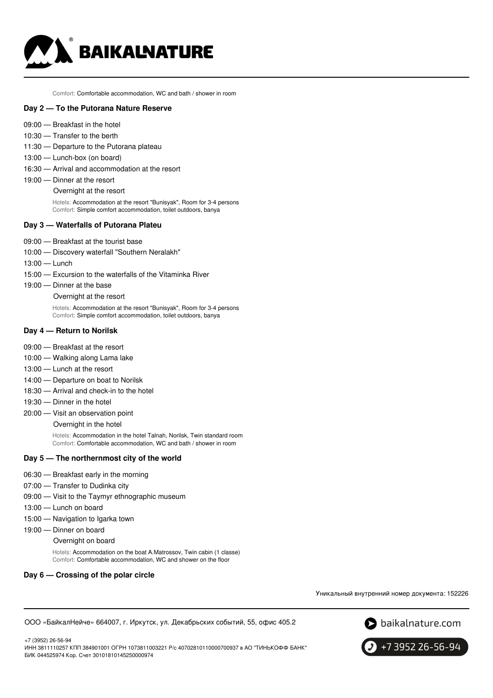

Comfort: Comfortable accommodation, WC and bath / shower in room

#### **Day 2 — To the Putorana Nature Reserve**

- 09:00 Breakfast in the hotel
- 10:30 Transfer to the berth
- 11:30 Departure to the Putorana plateau
- 13:00 Lunch-box (on board)
- 16:30 Arrival and accommodation at the resort
- 19:00 Dinner at the resort

Overnight at the resort

Hotels: Accommodation at the resort "Bunisyak", Room for 3-4 persons Comfort: Simple comfort accommodation, toilet outdoors, banya

#### **Day 3 — Waterfalls of Putorana Plateu**

- 09:00 Breakfast at the tourist base
- 10:00 Discovery waterfall "Southern Neralakh"
- 13:00 Lunch
- 15:00 Excursion to the waterfalls of the Vitaminka River
- 19:00 Dinner at the base

#### Overnight at the resort

Hotels: Accommodation at the resort "Bunisyak", Room for 3-4 persons Comfort: Simple comfort accommodation, toilet outdoors, banya

#### **Day 4 — Return to Norilsk**

- 09:00 Breakfast at the resort
- 10:00 Walking along Lama lake
- 13:00 Lunch at the resort
- 14:00 Departure on boat to Norilsk
- 18:30 Arrival and check-in to the hotel
- 19:30 Dinner in the hotel
- 20:00 Visit an observation point

Overnight in the hotel

Hotels: Accommodation in the hotel Talnah, Norilsk, Twin standard room Comfort: Comfortable accommodation, WC and bath / shower in room

#### **Day 5 — The northernmost city of the world**

- 06:30 Breakfast early in the morning
- 07:00 Transfer to Dudinka city
- 09:00 Visit to the Taymyr ethnographic museum
- 13:00 Lunch on board
- 15:00 Navigation to Igarka town
- 19:00 Dinner on board
	- Overnight on board

Hotels: Accommodation on the boat A.Matrossov, Twin cabin (1 classe) Comfort: Comfortable accommodation, WC and shower on the floor

### **Day 6 — Crossing of the polar circle**

Уникальный внутренний номер документа: 152226

ООО «БайкалНейче» 664007, г. Иркутск, ул. Декабрьских событий, 55, офис 405.2





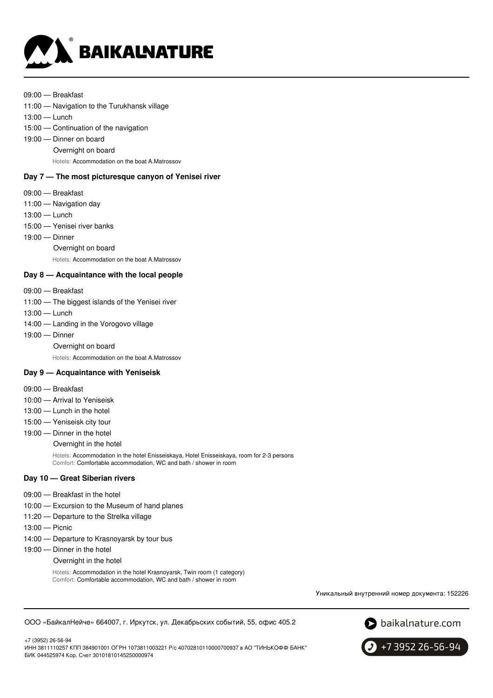

#### 09:00 — Breakfast

- 11:00 Navigation to the Turukhansk village
- 13:00 Lunch
- 15:00 Continuation of the navigation
- 19:00 Dinner on board
	- Overnight on board

Hotels: Accommodation on the boat A.Matrossov

### **Day 7 — The most picturesque canyon of Yenisei river**

- 09:00 Breakfast
- 11:00 Navigation day
- 13:00 Lunch
- 15:00 Yenisei river banks
- 19:00 Dinner
	- Overnight on board

Hotels: Accommodation on the boat A.Matrossov

#### **Day 8 — Acquaintance with the local people**

- 09:00 Breakfast
- 11:00 The biggest islands of the Yenisei river
- 13:00 Lunch
- 14:00 Landing in the Vorogovo village
- 19:00 Dinner
	- Overnight on board

Hotels: Accommodation on the boat A.Matrossov

### **Day 9 — Acquaintance with Yeniseisk**

- 09:00 Breakfast
- 10:00 Arrival to Yeniseisk
- 13:00 Lunch in the hotel
- 15:00 Yeniseisk city tour
- 19:00 Dinner in the hotel

Overnight in the hotel

Hotels: Accommodation in the hotel Enisseiskaya, Hotel Enisseiskaya, room for 2-3 persons Comfort: Comfortable accommodation, WC and bath / shower in room

#### **Day 10 — Great Siberian rivers**

- 09:00 Breakfast in the hotel
- 10:00 Excursion to the Museum of hand planes
- 11:20 Departure to the Strelka village
- 13:00 Picnic
- 14:00 Departure to Krasnoyarsk by tour bus
- 19:00 Dinner in the hotel
	- Overnight in the hotel

Hotels: Accommodation in the hotel Krasnoyarsk, Twin room (1 category) Comfort: Comfortable accommodation, WC and bath / shower in room

Уникальный внутренний номер документа: 152226

```
ООО «БайкалНейче» 664007, г. Иркутск, ул. Декабрьских событий, 55, офис 405.2
```


+7 (3952) 26-56-94 ИНН 3811110257 КПП 384901001 ОГРН 1073811003221 Р/с 40702810110000700937 в АО "ТИНЬКОФФ БАНК" БИК 044525974 Кор. Счет 30101810145250000974

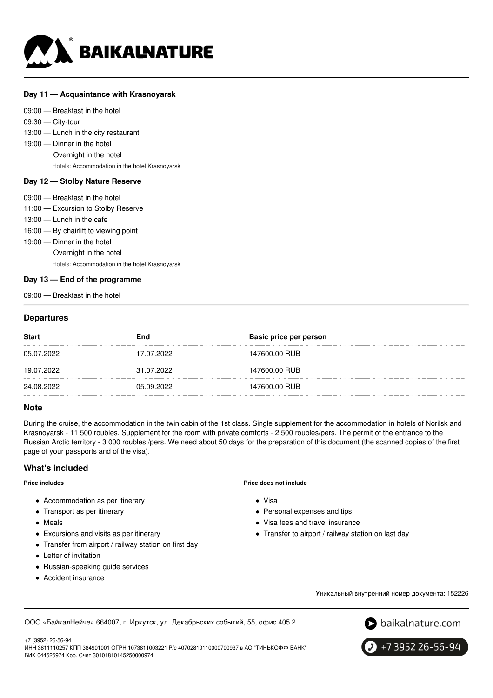

### **Day 11 — Acquaintance with Krasnoyarsk**

09:00 — Breakfast in the hotel

09:30 — City-tour

13:00 — Lunch in the city restaurant

- 19:00 Dinner in the hotel
	- Overnight in the hotel

Hotels: Accommodation in the hotel Krasnoyarsk

### **Day 12 — Stolby Nature Reserve**

- 09:00 Breakfast in the hotel
- 11:00 Excursion to Stolby Reserve
- 13:00 Lunch in the cafe
- 16:00 By chairlift to viewing point
- 19:00 Dinner in the hotel
	- Overnight in the hotel

Hotels: Accommodation in the hotel Krasnoyarsk

### **Day 13 — End of the programme**

09:00 — Breakfast in the hotel

### **Departures**

| 147600.00 RUB<br>17.07.2022<br>05.07.2022 |  |
|-------------------------------------------|--|
| 147600.00 RUB<br>31.07.2022<br>19.07.2022 |  |
| 147600.00 RUB<br>24.08.2022<br>05.09.2022 |  |

### **Note**

During the cruise, the accommodation in the twin cabin of the 1st class. Single supplement for the accommodation in hotels of Norilsk and Krasnoyarsk - 11 500 roubles. Supplement for the room with private comforts - 2 500 roubles/pers. The permit of the entrance to the Russian Arctic territory - 3 000 roubles /pers. We need about 50 days for the preparation of this document (the scanned copies of the first page of your passports and of the visa).

### **What's included**

#### **Price includes**

- Accommodation as per itinerary
- Transport as per itinerary
- Meals
- Excursions and visits as per itinerary
- Transfer from airport / railway station on first day
- Letter of invitation
- Russian-speaking guide services
- Accident insurance

#### **Price does not include**

- Visa
- Personal expenses and tips
- Visa fees and travel insurance
- Transfer to airport / railway station on last day

Уникальный внутренний номер документа: 152226

ООО «БайкалНейче» 664007, г. Иркутск, ул. Декабрьских событий, 55, офис 405.2



+7 (3952) 26-56-94

ИНН 3811110257 КПП 384901001 ОГРН 1073811003221 Р/с 40702810110000700937 в АО "ТИНЬКОФФ БАНК" БИК 044525974 Кор. Счет 30101810145250000974

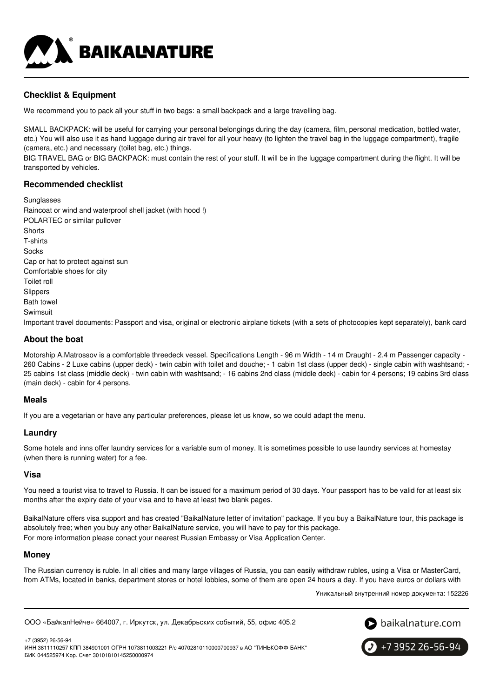

## **Checklist & Equipment**

We recommend you to pack all your stuff in two bags: a small backpack and a large travelling bag.

SMALL BACKPACK: will be useful for carrying your personal belongings during the day (camera, film, personal medication, bottled water, etc.) You will also use it as hand luggage during air travel for all your heavy (to lighten the travel bag in the luggage compartment), fragile (camera, etc.) and necessary (toilet bag, etc.) things.

BIG TRAVEL BAG or BIG BACKPACK: must contain the rest of your stuff. It will be in the luggage compartment during the flight. It will be transported by vehicles.

### **Recommended checklist**

Sunglasses Raincoat or wind and waterproof shell jacket (with hood !) POLARTEC or similar pullover **Shorts** T-shirts **Socks** Cap or hat to protect against sun Comfortable shoes for city Toilet roll Slippers Bath towel Swimsuit Important travel documents: Passport and visa, original or electronic airplane tickets (with a sets of photocopies kept separately), bank card

### **About the boat**

Motorship A.Matrossov is a comfortable threedeck vessel. Specifications Length - 96 m Width - 14 m Draught - 2.4 m Passenger capacity -260 Cabins - 2 Luxe cabins (upper deck) - twin cabin with toilet and douche; - 1 cabin 1st class (upper deck) - single cabin with washtsand; - 25 cabins 1st class (middle deck) - twin cabin with washtsand; - 16 cabins 2nd class (middle deck) - cabin for 4 persons; 19 cabins 3rd class (main deck) - cabin for 4 persons.

### **Meals**

If you are a vegetarian or have any particular preferences, please let us know, so we could adapt the menu.

### **Laundry**

Some hotels and inns offer laundry services for a variable sum of money. It is sometimes possible to use laundry services at homestay (when there is running water) for a fee.

### **Visa**

You need a tourist visa to travel to Russia. It can be issued for a maximum period of 30 days. Your passport has to be valid for at least six months after the expiry date of your visa and to have at least two blank pages.

BaikalNature offers visa support and has created "BaikalNature letter of invitation" package. If you buy a BaikalNature tour, this package is absolutely free; when you buy any other BaikalNature service, you will have to pay for this package. For more information please conact your nearest Russian Embassy or Visa Application Center.

#### **Money**

The Russian currency is ruble. In all cities and many large villages of Russia, you can easily withdraw rubles, using a Visa or MasterCard, from ATMs, located in banks, department stores or hotel lobbies, some of them are open 24 hours a day. If you have euros or dollars with

Уникальный внутренний номер документа: 152226

ООО «БайкалНейче» 664007, г. Иркутск, ул. Декабрьских событий, 55, офис 405.2



+7 (3952) 26-56-94 ИНН 3811110257 КПП 384901001 ОГРН 1073811003221 Р/с 40702810110000700937 в АО "ТИНЬКОФФ БАНК" БИК 044525974 Кор. Счет 30101810145250000974